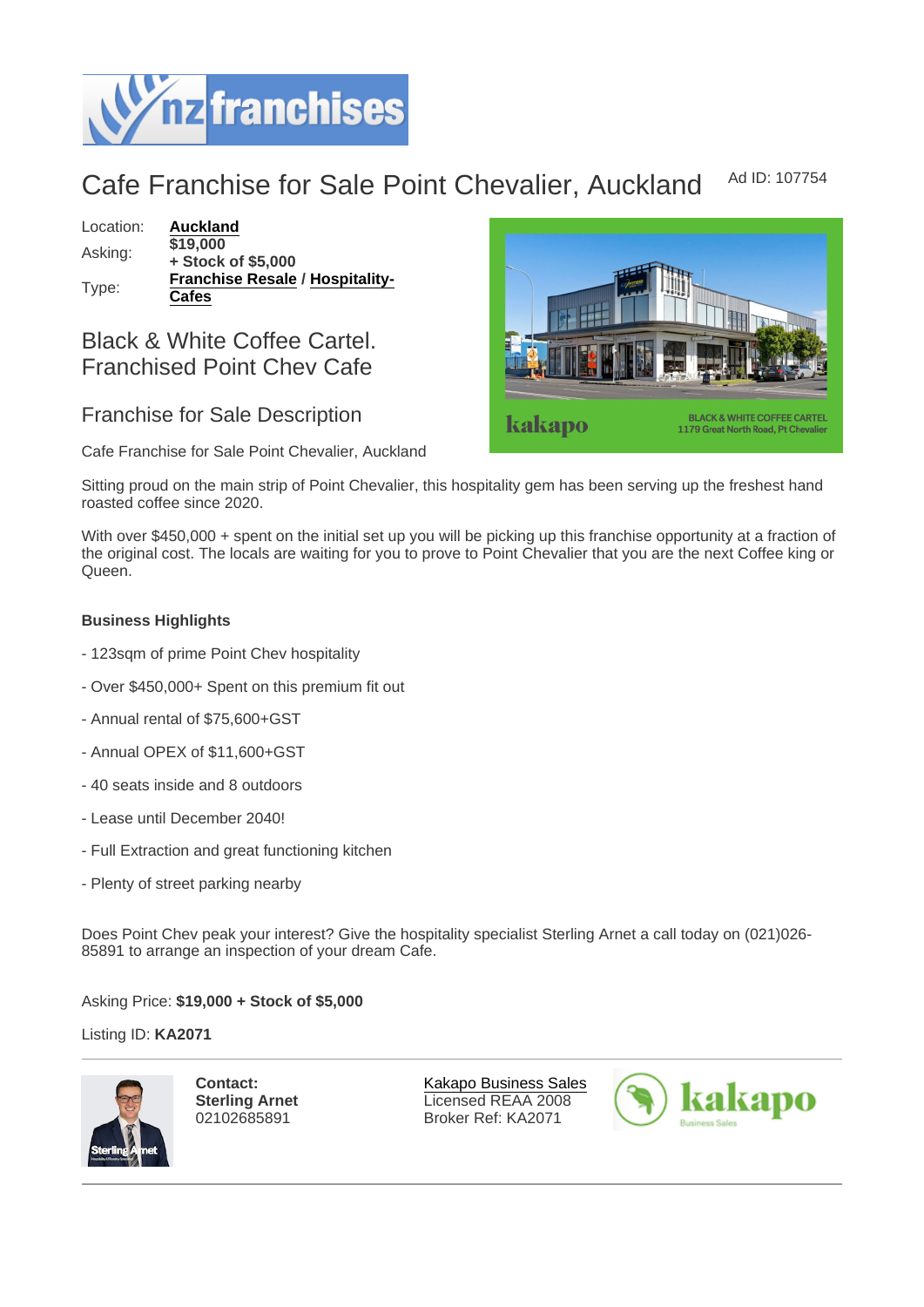## Cafe Franchise for Sale Point Chevalier, Auckland Ad ID: 107754

Location: [Auckland](https://www.nzfranchises.co.nz/franchises-for-sale/location/Auckland) Asking: \$19,000 + Stock of \$5,000 Type: [Franchise Resale](https://www.nzfranchises.co.nz/franchises-for-sale/Franchise-Resale/New-Zealand) / [Hospitality-](https://www.nzfranchises.co.nz/franchises-for-sale/Cafes/New-Zealand)[Cafes](https://www.nzfranchises.co.nz/franchises-for-sale/Cafes/New-Zealand)

Black & White Coffee Cartel. Franchised Point Chev Cafe

## Franchise for Sale Description

Cafe Franchise for Sale Point Chevalier, Auckland

Sitting proud on the main strip of Point Chevalier, this hospitality gem has been serving up the freshest hand roasted coffee since 2020.

With over \$450,000 + spent on the initial set up you will be picking up this franchise opportunity at a fraction of the original cost. The locals are waiting for you to prove to Point Chevalier that you are the next Coffee king or Queen.

Business Highlights

- 123sqm of prime Point Chev hospitality
- Over \$450,000+ Spent on this premium fit out
- Annual rental of \$75,600+GST
- Annual OPEX of \$11,600+GST
- 40 seats inside and 8 outdoors
- Lease until December 2040!
- Full Extraction and great functioning kitchen
- Plenty of street parking nearby

Does Point Chev peak your interest? Give the hospitality specialist Sterling Arnet a call today on (021)026- 85891 to arrange an inspection of your dream Cafe.

Asking Price: \$19,000 + Stock of \$5,000

Listing ID: KA2071

Contact: Sterling Arnet 02102685891

[Kakapo Business Sales](https://www.nzfranchises.co.nz/franchise-brokers/216/kakapo-business-sales/brokerage-listings) Licensed REAA 2008 Broker Ref: KA2071